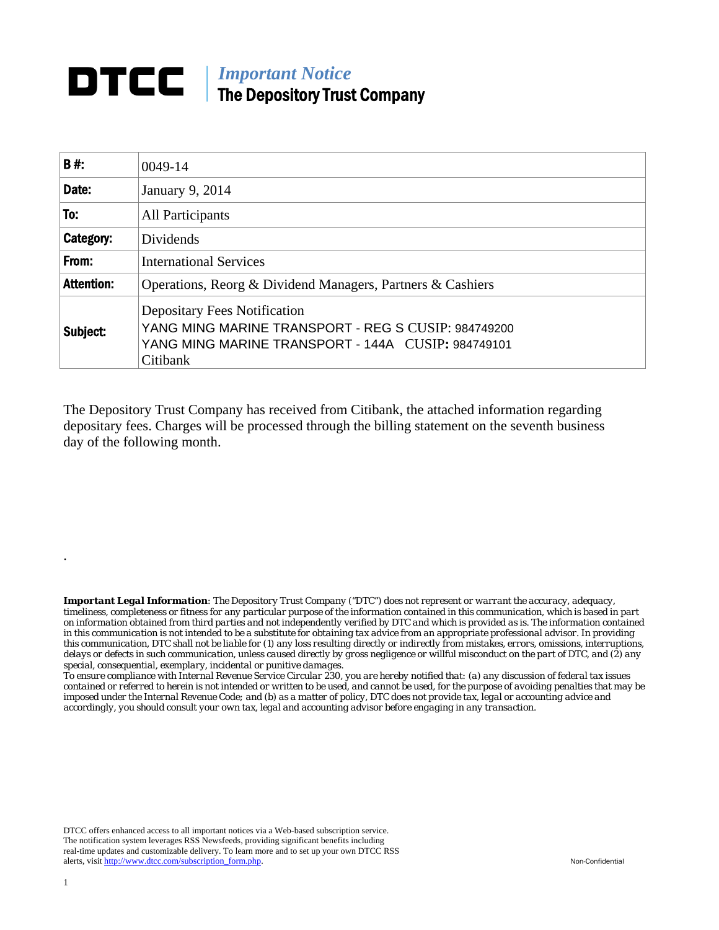## **DTCC** | *Important Notice* The Depository Trust Company

| B#:               | $0049 - 14$                                                                                                                                                  |
|-------------------|--------------------------------------------------------------------------------------------------------------------------------------------------------------|
| Date:             | January 9, 2014                                                                                                                                              |
| To:               | All Participants                                                                                                                                             |
| Category:         | Dividends                                                                                                                                                    |
| From:             | <b>International Services</b>                                                                                                                                |
| <b>Attention:</b> | Operations, Reorg & Dividend Managers, Partners & Cashiers                                                                                                   |
| Subject:          | <b>Depositary Fees Notification</b><br>YANG MING MARINE TRANSPORT - REG S CUSIP: 984749200<br>YANG MING MARINE TRANSPORT - 144A CUSIP: 984749101<br>Citibank |

The Depository Trust Company has received from Citibank, the attached information regarding depositary fees. Charges will be processed through the billing statement on the seventh business day of the following month.

*Important Legal Information: The Depository Trust Company ("DTC") does not represent or warrant the accuracy, adequacy, timeliness, completeness or fitness for any particular purpose of the information contained in this communication, which is based in part on information obtained from third parties and not independently verified by DTC and which is provided as is. The information contained in this communication is not intended to be a substitute for obtaining tax advice from an appropriate professional advisor. In providing this communication, DTC shall not be liable for (1) any loss resulting directly or indirectly from mistakes, errors, omissions, interruptions, delays or defects in such communication, unless caused directly by gross negligence or willful misconduct on the part of DTC, and (2) any special, consequential, exemplary, incidental or punitive damages.* 

*To ensure compliance with Internal Revenue Service Circular 230, you are hereby notified that: (a) any discussion of federal tax issues contained or referred to herein is not intended or written to be used, and cannot be used, for the purpose of avoiding penalties that may be imposed under the Internal Revenue Code; and (b) as a matter of policy, DTC does not provide tax, legal or accounting advice and accordingly, you should consult your own tax, legal and accounting advisor before engaging in any transaction.*

DTCC offers enhanced access to all important notices via a Web-based subscription service. The notification system leverages RSS Newsfeeds, providing significant benefits including real-time updates and customizable delivery. To learn more and to set up your own DTCC RSS alerts, visit http://www.dtcc.com/subscription\_form.php. Non-Confidential

.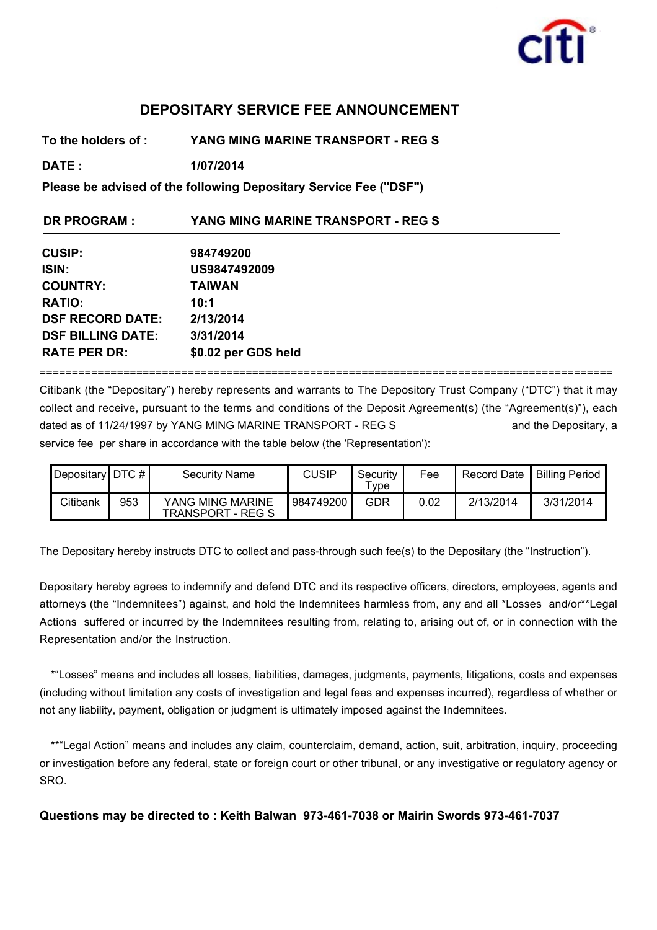

## **DEPOSITARY SERVICE FEE ANNOUNCEMENT**

**To the holders of : YANG MING MARINE TRANSPORT - REG S**

**DATE : 1/07/2014**

**Please be advised of the following Depositary Service Fee ("DSF")**

| <b>DR PROGRAM:</b>       | YANG MING MARINE TRANSPORT - REG S |  |  |  |
|--------------------------|------------------------------------|--|--|--|
| <b>CUSIP:</b>            | 984749200                          |  |  |  |
| <b>ISIN:</b>             | US9847492009                       |  |  |  |
| <b>COUNTRY:</b>          | <b>TAIWAN</b>                      |  |  |  |
| <b>RATIO:</b>            | 10:1                               |  |  |  |
| <b>DSF RECORD DATE:</b>  | 2/13/2014                          |  |  |  |
| <b>DSF BILLING DATE:</b> | 3/31/2014                          |  |  |  |
| <b>RATE PER DR:</b>      | \$0.02 per GDS held                |  |  |  |

Citibank (the "Depositary") hereby represents and warrants to The Depository Trust Company ("DTC") that it may collect and receive, pursuant to the terms and conditions of the Deposit Agreement(s) (the "Agreement(s)"), each dated as of 11/24/1997 by YANG MING MARINE TRANSPORT - REG S and the Depositary, a service fee per share in accordance with the table below (the 'Representation'):

| $\vert$ Depositary $\vert$ DTC # $\vert$ |     | <b>Security Name</b>                  | CUSIP     | Security<br>$\tau_{\texttt{VDE}}$ | Fee  | Record Date | <b>Billing Period</b> |
|------------------------------------------|-----|---------------------------------------|-----------|-----------------------------------|------|-------------|-----------------------|
| Citibank                                 | 953 | YANG MING MARINE<br>TRANSPORT - REG S | 984749200 | GDR                               | 0.02 | 2/13/2014   | 3/31/2014             |

The Depositary hereby instructs DTC to collect and pass-through such fee(s) to the Depositary (the "Instruction").

Depositary hereby agrees to indemnify and defend DTC and its respective officers, directors, employees, agents and attorneys (the "Indemnitees") against, and hold the Indemnitees harmless from, any and all \*Losses and/or\*\*Legal Actions suffered or incurred by the Indemnitees resulting from, relating to, arising out of, or in connection with the Representation and/or the Instruction.

\*"Losses" means and includes all losses, liabilities, damages, judgments, payments, litigations, costs and expenses (including without limitation any costs of investigation and legal fees and expenses incurred), regardless of whether or not any liability, payment, obligation or judgment is ultimately imposed against the Indemnitees.

\*\*"Legal Action" means and includes any claim, counterclaim, demand, action, suit, arbitration, inquiry, proceeding or investigation before any federal, state or foreign court or other tribunal, or any investigative or regulatory agency or SRO.

**Questions may be directed to : Keith Balwan 973-461-7038 or Mairin Swords 973-461-7037**